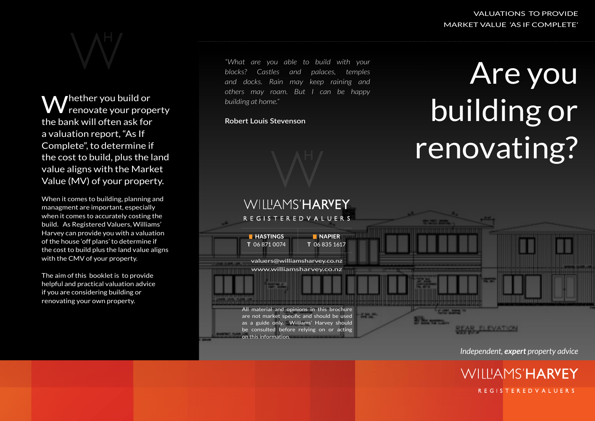

Whether you build or renovate your property the bank will often ask for a valuation report, "As If Complete", to determine if the cost to build, plus the land value aligns with the Market Value (MV) of your property.

When it comes to building, planning and managment are important, especially when it comes to accurately costing the build. As Registered Valuers, Williams' Harvey can provide you with a valuation of the house 'off plans' to determine if the cost to build plus the land value aligns with the CMV of your property.

The aim of this booklet is to provide helpful and practical valuation advice if you are considering building or renovating your own property.

*"What are you able to build with your blocks? Castles and palaces, temples and docks. Rain may keep raining and others may roam. But I can be happy building at home."*

### **Robert Louis Stevenson**





*Independent, expert property advice*

**WILLIAMS'HARYEY** 

**REGISTEREDVALUERS**